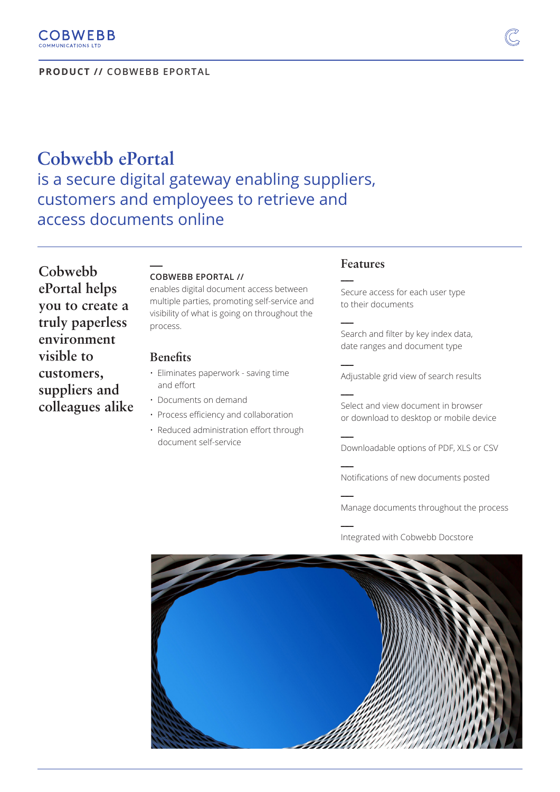**PRODUCT // COBWEBB EPORTAL**

# **Cobwebb ePortal**  is a secure digital gateway enabling suppliers, customers and employees to retrieve and access documents online

**Cobwebb ePortal helps you to create a truly paperless environment visible to customers, suppliers and colleagues alike**

#### **COBWEBB EPORTAL //**

enables digital document access between multiple parties, promoting self-service and visibility of what is going on throughout the process.

#### **Benefits**

**\_\_\_** 

- Eliminates paperwork saving time and effort
- Documents on demand
- Process efficiency and collaboration
- Reduced administration effort through document self-service

### **Features**

**\_\_\_** 

**\_\_\_** 

**\_\_\_** 

**\_\_\_** 

**\_\_\_** 

**\_\_\_** 

**\_\_\_** 

**\_\_\_** 

Secure access for each user type to their documents

Search and filter by key index data, date ranges and document type

Adjustable grid view of search results

Select and view document in browser or download to desktop or mobile device

Downloadable options of PDF, XLS or CSV

Notifications of new documents posted

Manage documents throughout the process

Integrated with Cobwebb Docstore